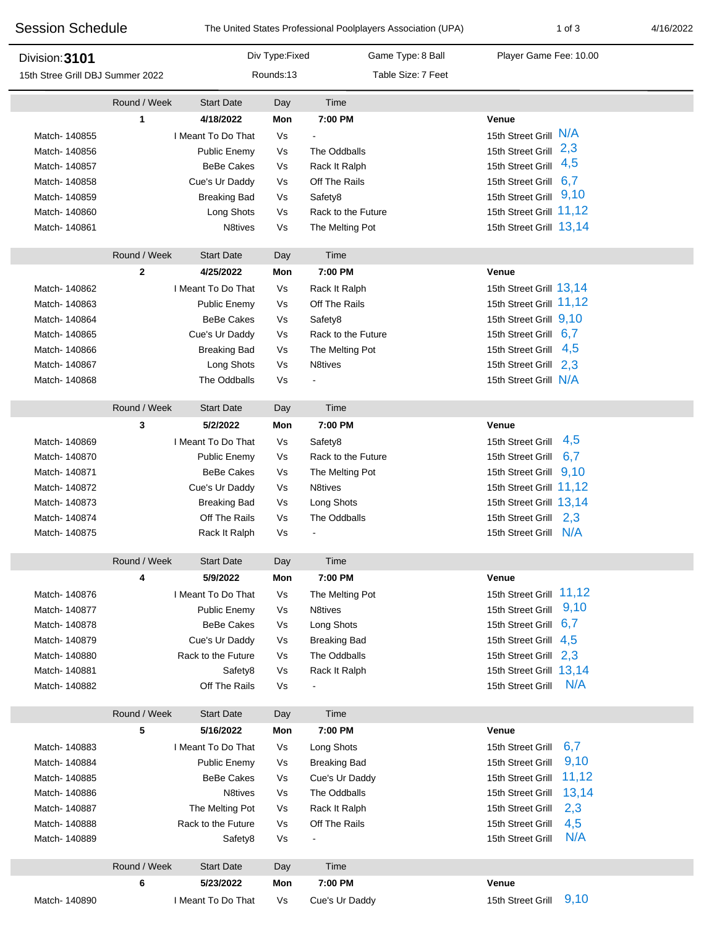| <b>Session Schedule</b>          |                   |                                |                | The United States Professional Poolplayers Association (UPA) | $1$ of $3$                                     | 4/16/2022 |
|----------------------------------|-------------------|--------------------------------|----------------|--------------------------------------------------------------|------------------------------------------------|-----------|
| Division: 3101                   |                   |                                | Div Type:Fixed | Game Type: 8 Ball                                            | Player Game Fee: 10.00                         |           |
| 15th Stree Grill DBJ Summer 2022 |                   |                                | Rounds:13      | Table Size: 7 Feet                                           |                                                |           |
|                                  | Round / Week      | <b>Start Date</b>              | Day            | Time                                                         |                                                |           |
|                                  | 1                 | 4/18/2022                      | Mon            | 7:00 PM                                                      | Venue                                          |           |
| Match-140855                     |                   | I Meant To Do That             | Vs             |                                                              | 15th Street Grill N/A                          |           |
| Match- 140856                    |                   | Public Enemy                   | Vs             | The Oddballs                                                 | 15th Street Grill 2,3                          |           |
| Match- 140857                    |                   | <b>BeBe Cakes</b>              | Vs             | Rack It Ralph                                                | 4,5<br>15th Street Grill                       |           |
| Match- 140858                    |                   | Cue's Ur Daddy                 | Vs             | Off The Rails                                                | 6,7<br>15th Street Grill                       |           |
| Match- 140859                    |                   | <b>Breaking Bad</b>            | Vs             | Safety8                                                      | 9,10<br>15th Street Grill                      |           |
| Match- 140860                    |                   | Long Shots                     | Vs             | Rack to the Future                                           | 15th Street Grill 11,12                        |           |
| Match-140861                     |                   | N8tives                        | Vs             | The Melting Pot                                              | 15th Street Grill 13,14                        |           |
|                                  | Round / Week      | <b>Start Date</b>              | Day            | Time                                                         |                                                |           |
|                                  | $\mathbf{2}$      | 4/25/2022                      | Mon            | 7:00 PM                                                      | <b>Venue</b>                                   |           |
| Match- 140862                    |                   | I Meant To Do That             | Vs             | Rack It Ralph                                                | 15th Street Grill 13,14                        |           |
| Match- 140863                    |                   | Public Enemy                   | Vs             | Off The Rails                                                | 15th Street Grill 11,12                        |           |
| Match- 140864                    |                   | <b>BeBe Cakes</b>              | Vs             | Safety8                                                      | 15th Street Grill 9,10                         |           |
| Match- 140865                    |                   | Cue's Ur Daddy                 | Vs             | Rack to the Future                                           | 15th Street Grill 6,7                          |           |
| Match- 140866                    |                   | <b>Breaking Bad</b>            | Vs             | The Melting Pot                                              | 15th Street Grill<br>4,5                       |           |
| Match- 140867                    |                   | Long Shots                     | Vs             | N8tives                                                      | 15th Street Grill 2.3                          |           |
| Match- 140868                    |                   | The Oddballs                   | Vs             |                                                              | 15th Street Grill N/A                          |           |
|                                  | Round / Week      | <b>Start Date</b>              | Day            | Time                                                         |                                                |           |
|                                  | 3                 | 5/2/2022                       | Mon            | 7:00 PM                                                      | Venue                                          |           |
| Match- 140869                    |                   | I Meant To Do That             | Vs             | Safety8                                                      | 4,5<br>15th Street Grill                       |           |
| Match- 140870                    |                   | Public Enemy                   | Vs             | Rack to the Future                                           | 6,7<br>15th Street Grill                       |           |
| Match-140871                     |                   | <b>BeBe Cakes</b>              | Vs             | The Melting Pot                                              | 15th Street Grill 9,10                         |           |
| Match-140872                     |                   | Cue's Ur Daddy                 | Vs             | N8tives                                                      | 15th Street Grill 11,12                        |           |
| Match- 140873                    |                   | <b>Breaking Bad</b>            | Vs             | Long Shots                                                   | 15th Street Grill 13,14                        |           |
| Match- 140874                    |                   | Off The Rails                  | Vs             | The Oddballs                                                 | 15th Street Grill 2,3                          |           |
| Match- 140875                    |                   | Rack It Ralph                  | Vs             |                                                              | 15th Street Grill N/A                          |           |
|                                  | Round / Week      | <b>Start Date</b>              | Day            | Time                                                         |                                                |           |
|                                  | 4                 | 5/9/2022                       | Mon            | 7:00 PM                                                      | Venue                                          |           |
| Match- 140876                    |                   | I Meant To Do That             | Vs             | The Melting Pot                                              | 15th Street Grill 11,12                        |           |
| Match- 140877                    |                   | Public Enemy                   | Vs             | N8tives                                                      | 9,10<br>15th Street Grill                      |           |
| Match- 140878                    |                   | <b>BeBe Cakes</b>              | Vs             | Long Shots                                                   | 15th Street Grill 6,7                          |           |
| Match- 140879                    |                   | Cue's Ur Daddy                 | Vs             | <b>Breaking Bad</b>                                          | 15th Street Grill 4,5<br>15th Street Grill 2,3 |           |
| Match- 140880<br>Match-140881    |                   | Rack to the Future<br>Safety8  | Vs<br>Vs       | The Oddballs<br>Rack It Ralph                                | 15th Street Grill 13,14                        |           |
| Match- 140882                    |                   | Off The Rails                  | Vs             |                                                              | N/A<br>15th Street Grill                       |           |
|                                  |                   |                                |                |                                                              |                                                |           |
|                                  | Round / Week<br>5 | <b>Start Date</b><br>5/16/2022 | Day<br>Mon     | Time<br>7:00 PM                                              | Venue                                          |           |
|                                  |                   | I Meant To Do That             |                |                                                              | 6,7<br>15th Street Grill                       |           |
| Match-140883<br>Match- 140884    |                   | Public Enemy                   | Vs<br>Vs       | Long Shots<br><b>Breaking Bad</b>                            | 9,10<br>15th Street Grill                      |           |
| Match- 140885                    |                   | <b>BeBe Cakes</b>              | Vs             | Cue's Ur Daddy                                               | 11,12<br>15th Street Grill                     |           |
| Match- 140886                    |                   | N <sub>8</sub> tives           | Vs             | The Oddballs                                                 | 13,14<br>15th Street Grill                     |           |
| Match- 140887                    |                   | The Melting Pot                | Vs             | Rack It Ralph                                                | 15th Street Grill<br>2,3                       |           |
| Match- 140888                    |                   | Rack to the Future             | Vs             | Off The Rails                                                | 4,5<br>15th Street Grill                       |           |
| Match- 140889                    |                   | Safety8                        | Vs             |                                                              | N/A<br>15th Street Grill                       |           |
|                                  | Round / Week      | <b>Start Date</b>              | Day            | Time                                                         |                                                |           |
|                                  | 6                 | 5/23/2022                      | Mon            | 7:00 PM                                                      | Venue                                          |           |
| Match- 140890                    |                   | I Meant To Do That             | Vs             | Cue's Ur Daddy                                               | 9,10<br>15th Street Grill                      |           |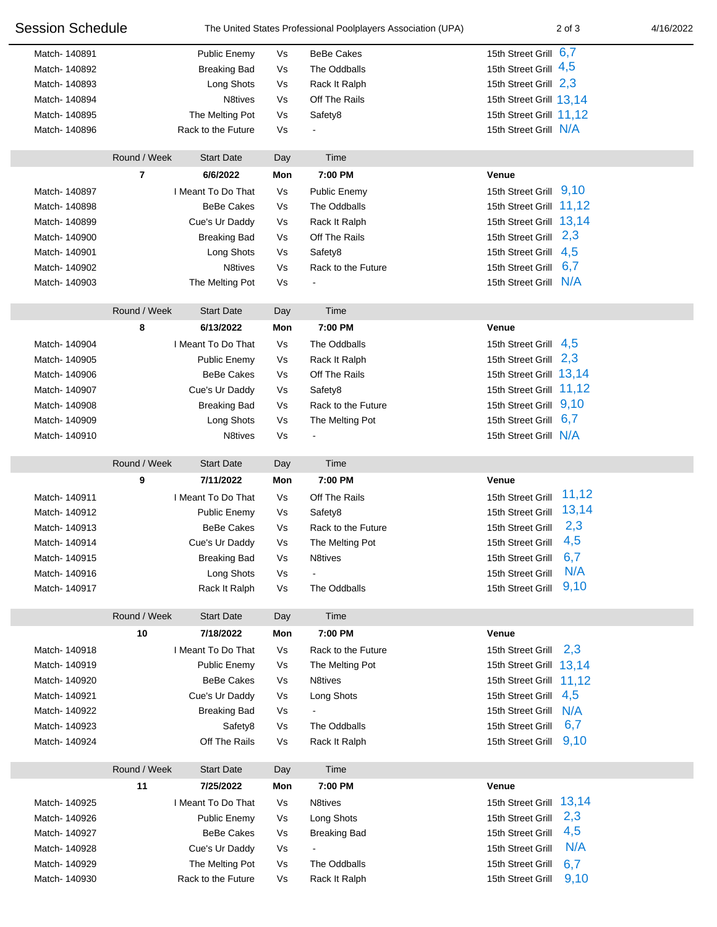| <b>Session Schedule</b> |              | The United States Professional Poolplayers Association (UPA) |     | 2 of 3              | 4/16/2022                  |  |
|-------------------------|--------------|--------------------------------------------------------------|-----|---------------------|----------------------------|--|
| Match-140891            |              | Public Enemy                                                 | Vs  | <b>BeBe Cakes</b>   | 15th Street Grill 6,7      |  |
| Match- 140892           |              | <b>Breaking Bad</b>                                          | Vs  | The Oddballs        | 15th Street Grill 4,5      |  |
| Match- 140893           |              | Long Shots                                                   | Vs  | Rack It Ralph       | 15th Street Grill 2,3      |  |
| Match- 140894           |              | N8tives                                                      | Vs  | Off The Rails       | 15th Street Grill 13,14    |  |
| Match- 140895           |              | The Melting Pot                                              | Vs  | Safety8             | 15th Street Grill 11,12    |  |
| Match- 140896           |              | Rack to the Future                                           | Vs  |                     | 15th Street Grill N/A      |  |
|                         |              |                                                              |     |                     |                            |  |
|                         | Round / Week | <b>Start Date</b>                                            | Day | Time                |                            |  |
|                         | 7            | 6/6/2022                                                     | Mon | 7:00 PM             | Venue                      |  |
| Match- 140897           |              | I Meant To Do That                                           | Vs  | <b>Public Enemy</b> | 9,10<br>15th Street Grill  |  |
| Match- 140898           |              | <b>BeBe Cakes</b>                                            | Vs  | The Oddballs        | 15th Street Grill 11,12    |  |
| Match- 140899           |              | Cue's Ur Daddy                                               | Vs  | Rack It Ralph       | 15th Street Grill 13,14    |  |
| Match- 140900           |              | <b>Breaking Bad</b>                                          | Vs  | Off The Rails       | 15th Street Grill 2,3      |  |
| Match-140901            |              | Long Shots                                                   | Vs  | Safety8             | 4,5<br>15th Street Grill   |  |
| Match- 140902           |              | N8tives                                                      | Vs  | Rack to the Future  | 6,7<br>15th Street Grill   |  |
| Match- 140903           |              | The Melting Pot                                              | Vs  |                     | 15th Street Grill N/A      |  |
|                         | Round / Week | <b>Start Date</b>                                            | Day | Time                |                            |  |
|                         | 8            | 6/13/2022                                                    | Mon | 7:00 PM             | Venue                      |  |
| Match- 140904           |              | I Meant To Do That                                           | Vs  | The Oddballs        | 4,5<br>15th Street Grill   |  |
| Match- 140905           |              | Public Enemy                                                 | Vs  | Rack It Ralph       | 2,3<br>15th Street Grill   |  |
| Match- 140906           |              | <b>BeBe Cakes</b>                                            | Vs  | Off The Rails       | 15th Street Grill 13,14    |  |
| Match- 140907           |              | Cue's Ur Daddy                                               | Vs  | Safety8             | 15th Street Grill 11,12    |  |
| Match- 140908           |              | <b>Breaking Bad</b>                                          | Vs  | Rack to the Future  | 15th Street Grill 9,10     |  |
| Match- 140909           |              | Long Shots                                                   | Vs  | The Melting Pot     | 6,7<br>15th Street Grill   |  |
| Match-140910            |              | N <sub>8</sub> tives                                         | Vs  |                     | 15th Street Grill N/A      |  |
|                         |              |                                                              |     |                     |                            |  |
|                         |              |                                                              |     |                     |                            |  |
|                         | Round / Week | <b>Start Date</b>                                            | Day | Time                |                            |  |
|                         | 9            | 7/11/2022                                                    | Mon | 7:00 PM             | Venue                      |  |
| Match-140911            |              | I Meant To Do That                                           | Vs  | Off The Rails       | 11,12<br>15th Street Grill |  |
| Match-140912            |              | <b>Public Enemy</b>                                          | Vs  | Safety8             | 13,14<br>15th Street Grill |  |
| Match-140913            |              | <b>BeBe Cakes</b>                                            | Vs  | Rack to the Future  | 2,3<br>15th Street Grill   |  |
| Match- 140914           |              | Cue's Ur Daddy                                               | Vs  | The Melting Pot     | 4,5<br>15th Street Grill   |  |
| Match-140915            |              | <b>Breaking Bad</b>                                          | Vs  | N8tives             | 6,7<br>15th Street Grill   |  |
| Match-140916            |              | Long Shots                                                   | Vs  |                     | N/A<br>15th Street Grill   |  |
| Match-140917            |              | Rack It Ralph                                                | Vs  | The Oddballs        | 9,10<br>15th Street Grill  |  |
|                         | Round / Week | <b>Start Date</b>                                            | Day | Time                |                            |  |
|                         | 10           | 7/18/2022                                                    | Mon | 7:00 PM             | Venue                      |  |
| Match-140918            |              | I Meant To Do That                                           | Vs  | Rack to the Future  | 2,3<br>15th Street Grill   |  |
| Match- 140919           |              | Public Enemy                                                 | Vs  | The Melting Pot     | 15th Street Grill 13,14    |  |
| Match- 140920           |              | <b>BeBe Cakes</b>                                            | Vs  | N8tives             | 15th Street Grill 11,12    |  |
| Match-140921            |              | Cue's Ur Daddy                                               | Vs  | Long Shots          | 4,5<br>15th Street Grill   |  |
| Match- 140922           |              | <b>Breaking Bad</b>                                          | Vs  |                     | N/A<br>15th Street Grill   |  |
| Match- 140923           |              | Safety <sub>8</sub>                                          | Vs  | The Oddballs        | 6,7<br>15th Street Grill   |  |
| Match- 140924           |              | Off The Rails                                                | Vs  | Rack It Ralph       | 9,10<br>15th Street Grill  |  |
|                         | Round / Week | <b>Start Date</b>                                            | Day | Time                |                            |  |
|                         | 11           | 7/25/2022                                                    | Mon | 7:00 PM             | Venue                      |  |
| Match-140925            |              | I Meant To Do That                                           | Vs  | N8tives             | 15th Street Grill 13,14    |  |
| Match- 140926           |              | Public Enemy                                                 | Vs  | Long Shots          | 2,3<br>15th Street Grill   |  |
| Match- 140927           |              | <b>BeBe Cakes</b>                                            | Vs  | <b>Breaking Bad</b> | 4,5<br>15th Street Grill   |  |
| Match- 140928           |              | Cue's Ur Daddy                                               | Vs  |                     | N/A<br>15th Street Grill   |  |
| Match- 140929           |              | The Melting Pot                                              | Vs  | The Oddballs        | 15th Street Grill<br>6,7   |  |